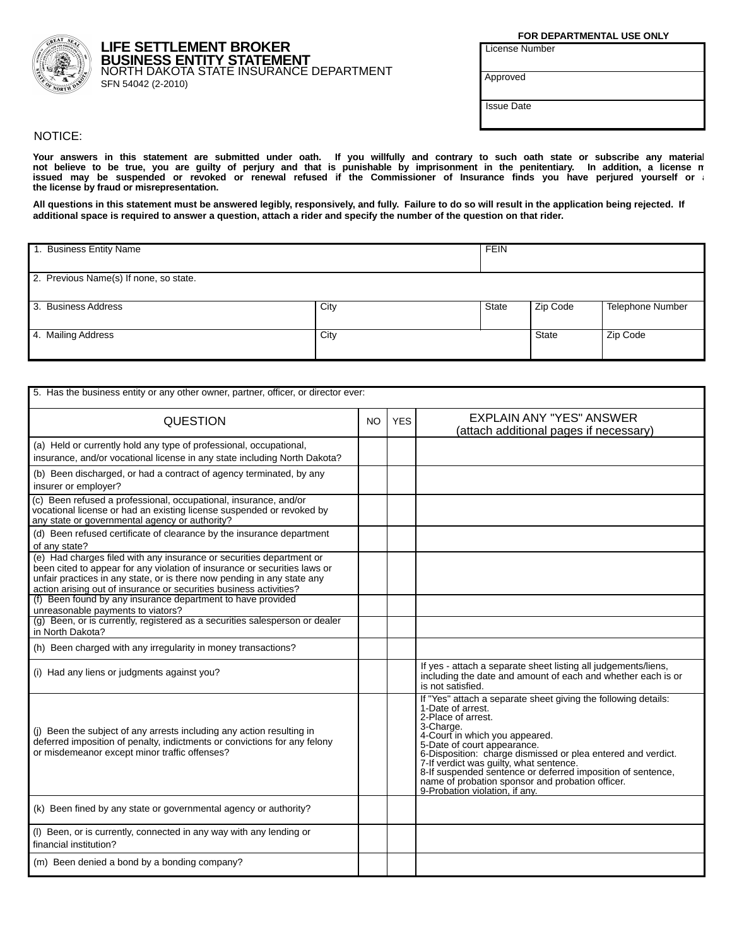FOR DEPARTMENTAL USE ONLY

**License Number** 

Approved

**Issue Date** 

## NOTICE:

Your answers in this statement are submitted under oath. If you willfully and contrary to such oath state or subscribe any material<br>not believe to be true, you are guilty of perjury and that is punishable by imprisonment i issued may be suspended or revoked or renewal refused if the Commissioner of Insurance finds you have perjured yourself or<br>the license by fraud or misrepresentation.

All questions in this statement must be answered legibly, responsively, and fully. Failure to do so will result in the application being rejected. If additional space is required to answer a question, attach a rider and specify the number of the question on that rider.

| 1. Business Entity Name                |      |       | <b>FEIN</b> |                  |  |
|----------------------------------------|------|-------|-------------|------------------|--|
| 2. Previous Name(s) If none, so state. |      |       |             |                  |  |
| 3. Business Address                    | City | State | Zip Code    | Telephone Number |  |
| 4. Mailing Address                     | City |       | State       | Zip Code         |  |

| 5. Has the business entity or any other owner, partner, officer, or director ever:                                                                                                                                                                                                                 |           |            |                                                                                                                                                                                                                                                                                                                                                                                                                                                         |  |  |  |
|----------------------------------------------------------------------------------------------------------------------------------------------------------------------------------------------------------------------------------------------------------------------------------------------------|-----------|------------|---------------------------------------------------------------------------------------------------------------------------------------------------------------------------------------------------------------------------------------------------------------------------------------------------------------------------------------------------------------------------------------------------------------------------------------------------------|--|--|--|
| <b>QUESTION</b>                                                                                                                                                                                                                                                                                    | <b>NO</b> | <b>YES</b> | <b>EXPLAIN ANY "YES" ANSWER</b><br>(attach additional pages if necessary)                                                                                                                                                                                                                                                                                                                                                                               |  |  |  |
| (a) Held or currently hold any type of professional, occupational,<br>insurance, and/or vocational license in any state including North Dakota?                                                                                                                                                    |           |            |                                                                                                                                                                                                                                                                                                                                                                                                                                                         |  |  |  |
| (b) Been discharged, or had a contract of agency terminated, by any<br>insurer or employer?                                                                                                                                                                                                        |           |            |                                                                                                                                                                                                                                                                                                                                                                                                                                                         |  |  |  |
| (c) Been refused a professional, occupational, insurance, and/or<br>vocational license or had an existing license suspended or revoked by<br>any state or governmental agency or authority?                                                                                                        |           |            |                                                                                                                                                                                                                                                                                                                                                                                                                                                         |  |  |  |
| (d) Been refused certificate of clearance by the insurance department<br>of any state?                                                                                                                                                                                                             |           |            |                                                                                                                                                                                                                                                                                                                                                                                                                                                         |  |  |  |
| (e) Had charges filed with any insurance or securities department or<br>been cited to appear for any violation of insurance or securities laws or<br>unfair practices in any state, or is there now pending in any state any<br>action arising out of insurance or securities business activities? |           |            |                                                                                                                                                                                                                                                                                                                                                                                                                                                         |  |  |  |
| (f) Been found by any insurance department to have provided<br>unreasonable payments to viators?                                                                                                                                                                                                   |           |            |                                                                                                                                                                                                                                                                                                                                                                                                                                                         |  |  |  |
| (g) Been, or is currently, registered as a securities salesperson or dealer<br>in North Dakota?                                                                                                                                                                                                    |           |            |                                                                                                                                                                                                                                                                                                                                                                                                                                                         |  |  |  |
| (h) Been charged with any irregularity in money transactions?                                                                                                                                                                                                                                      |           |            |                                                                                                                                                                                                                                                                                                                                                                                                                                                         |  |  |  |
| (i) Had any liens or judgments against you?                                                                                                                                                                                                                                                        |           |            | If yes - attach a separate sheet listing all judgements/liens,<br>including the date and amount of each and whether each is or<br>is not satisfied.                                                                                                                                                                                                                                                                                                     |  |  |  |
| (j) Been the subject of any arrests including any action resulting in<br>deferred imposition of penalty, indictments or convictions for any felony<br>or misdemeanor except minor traffic offenses?                                                                                                |           |            | If "Yes" attach a separate sheet giving the following details:<br>1-Date of arrest.<br>2-Place of arrest.<br>3-Charge.<br>4-Court in which you appeared.<br>5-Date of court appearance.<br>6-Disposition: charge dismissed or plea entered and verdict.<br>7-If verdict was guilty, what sentence.<br>8-If suspended sentence or deferred imposition of sentence,<br>name of probation sponsor and probation officer.<br>9-Probation violation. if any. |  |  |  |
| (k) Been fined by any state or governmental agency or authority?                                                                                                                                                                                                                                   |           |            |                                                                                                                                                                                                                                                                                                                                                                                                                                                         |  |  |  |
| (I) Been, or is currently, connected in any way with any lending or<br>financial institution?                                                                                                                                                                                                      |           |            |                                                                                                                                                                                                                                                                                                                                                                                                                                                         |  |  |  |
| (m) Been denied a bond by a bonding company?                                                                                                                                                                                                                                                       |           |            |                                                                                                                                                                                                                                                                                                                                                                                                                                                         |  |  |  |



## **LIFE SETTLEMENT BROKER BUSINESS ENTITY STATEMENT**<br>NORTH DAKOTA STATE INSURANCE DEPARTMENT SFN 54042 (2-2010)